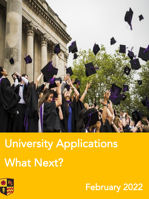

## University Applications **What Next?** What Next York 2001



February 2022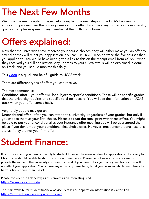#### **The Next Few Months**

We hope the next couple of pages help to explain the next steps of the UCAS / university application process over the coming weeks and months. If you have any further, or more specific,  $\frac{1}{2}$  and the community of the community  $\frac{1}{2}$  and  $\frac{1}{2}$  and  $\frac{1}{2}$  and  $\frac{1}{2}$  and  $\frac{1}{2}$  any momber of the Sixth Form Team  $q_{\rm eff}$  then please speak to any member of the Sixth Form Team.

# Offers explained:<br>Now that the universities have received your course choices, they will either make you an offer to

attend or they will reject your application. You can use UCAS Track to trace the five courses that you applied to. You would have been given a link to this on the receipt email from UCAS - when they received your full application. Any updates to your UCAS status will be explained in detail  $\frac{1}{2}$  received your function. Any updates to your UCAS status will be explained in details with  $\frac{1}{2}$ on Track, and you should monitor this daily.

This <u>[video](https://www.youtube.com/watch?v=DArB-wJSoZY)</u> is a quick and helpful guide to UCAS track.

There are different types of offers you can receive.

The most common is:

Conditional offer - your offer will be subject to specific conditions. These will be specific grades that the university requires or a specific total point score. You will see the information on UCAS that the university requires or a specific tour point score. You will see the information on UCAS is track when your offer comes back.

Very rarely people may get an:<br>**Unconditional offer** - often you can attend this university, regardless of your grades, but only if you choose them as your first choice. Please do read the small print with these offers. You might be able to put your unconditional as your insurance offer meaning you will be guaranteed the place if you don't meet your conditional first choice offer. However, most unconditional lose this status if they are not your firm offer.  $s_{\rm eff}$  if they are not your firm of  $\frac{1}{\sqrt{2}}$ 

## Student Finance:

It is up to you and your family to apply to student finance. The main window for applications is February to May, so you should be able to start the process immediately. Please do not worry if you are asked to provide the name of the university you plan to attend. If you have not as yet made your choices, this will not affect your application. You can use any university name here, but if you do know which one is likely to be your firm choice, then use it!

Please consider the link below, as this proves as an interesting read**.**  <u><https://www.ucas.com/sfe>e</u>

The main website for student financial advice, details and application information is via this link: <https://studentfinance.campaign.gov.uk/>